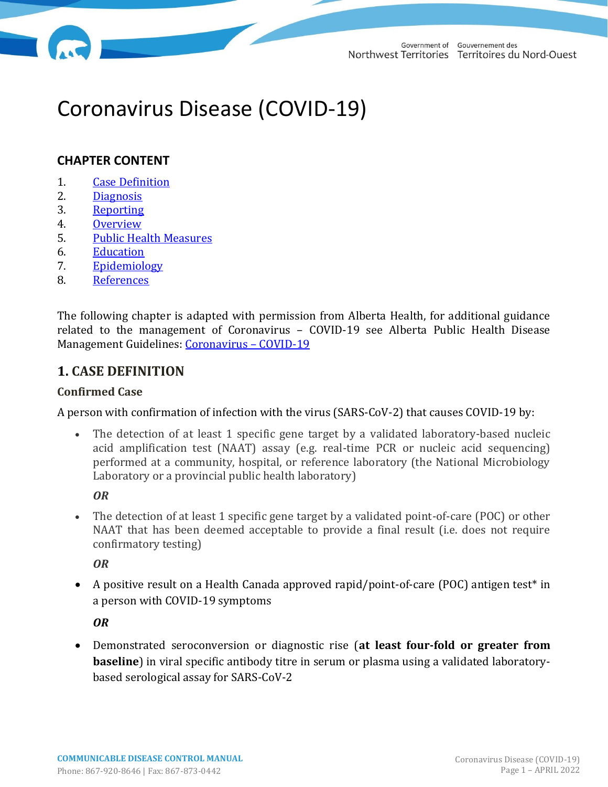# Coronavirus Disease (COVID-19)

# **CHAPTER CONTENT**

- 1. [Case Definition](#page-0-0)
- 2. [Diagnosis](#page-1-0)
- 3. [Reporting](#page-2-0)
- 4. [Overview](#page-3-0)
- 5. [Public Health Measures](#page-9-0)
- 6. [Education](#page-13-0)
- 7. [Epidemiology](#page-13-1)
- 8. [References](#page-13-2)

The following chapter is adapted with permission from Alberta Health, for additional guidance related to the management of Coronavirus – COVID-19 see Alberta Public Health Disease Management Guidelines: [Coronavirus](https://open.alberta.ca/publications/coronavirus-covid-19) – COVID-19

# <span id="page-0-1"></span>**1. [CASE DEFINITION](#page-0-1)**

#### <span id="page-0-0"></span>**Confirmed Case**

A person with confirmation of infection with the virus (SARS-CoV-2) that causes COVID-19 by:

• The detection of at least 1 specific gene target by a validated laboratory-based nucleic acid amplification test (NAAT) assay (e.g. real-time PCR or nucleic acid sequencing) performed at a community, hospital, or reference laboratory (the National Microbiology Laboratory or a provincial public health laboratory)

*OR*

• The detection of at least 1 specific gene target by a validated point-of-care (POC) or other NAAT that has been deemed acceptable to provide a final result (i.e. does not require confirmatory testing)

*OR*

• A positive result on a Health Canada approved rapid/point-of-care (POC) antigen test\* in a person with COVID-19 symptoms

*OR* 

• Demonstrated seroconversion or diagnostic rise (**at least four-fold or greater from baseline**) in viral specific antibody titre in serum or plasma using a validated laboratorybased serological assay for SARS-CoV-2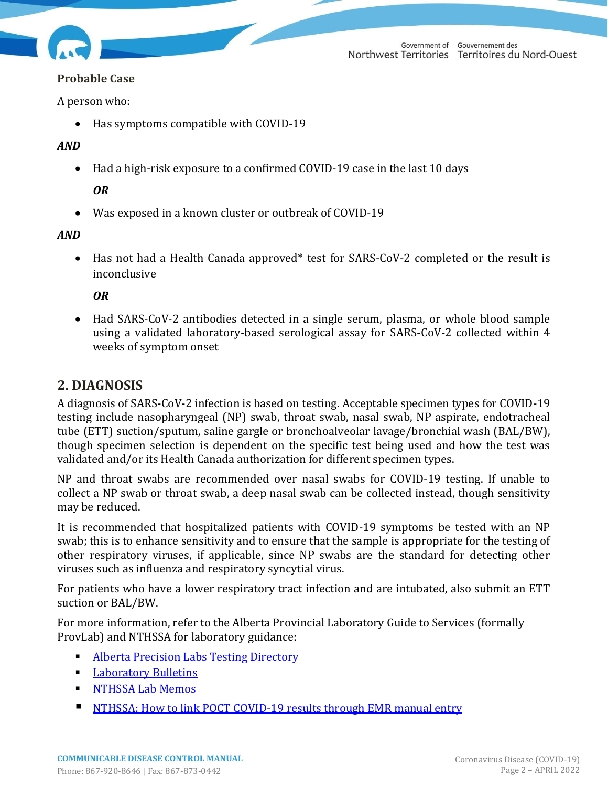#### **Probable Case**

A person who:

• Has symptoms compatible with COVID-19

#### *AND*

• Had a high-risk exposure to a confirmed COVID-19 case in the last 10 days

## *OR*

• Was exposed in a known cluster or outbreak of COVID-19

## *AND*

• Has not had a Health Canada approved<sup>\*</sup> test for SARS-CoV-2 completed or the result is inconclusive

## *OR*

• Had SARS-CoV-2 antibodies detected in a single serum, plasma, or whole blood sample using a validated laboratory-based serological assay for SARS-CoV-2 collected within 4 weeks of symptom onset

# <span id="page-1-1"></span><span id="page-1-0"></span>**2. [DIAGNOSIS](#page-1-1)**

A diagnosis of SARS-CoV-2 infection is based on testing. Acceptable specimen types for COVID-19 testing include nasopharyngeal (NP) swab, throat swab, nasal swab, NP aspirate, endotracheal tube (ETT) suction/sputum, saline gargle or bronchoalveolar lavage/bronchial wash (BAL/BW), though specimen selection is dependent on the specific test being used and how the test was validated and/or its Health Canada authorization for different specimen types.

NP and throat swabs are recommended over nasal swabs for COVID-19 testing. If unable to collect a NP swab or throat swab, a deep nasal swab can be collected instead, though sensitivity may be reduced.

It is recommended that hospitalized patients with COVID-19 symptoms be tested with an NP swab; this is to enhance sensitivity and to ensure that the sample is appropriate for the testing of other respiratory viruses, if applicable, since NP swabs are the standard for detecting other viruses such as influenza and respiratory syncytial virus.

For patients who have a lower respiratory tract infection and are intubated, also submit an ETT suction or BAL/BW.

For more information, refer to the [Alberta Provincial Laboratory Guide to Services](http://www.albertahealthservices.ca/lab/page3317.aspx) (formally ProvLab) and NTHSSA for laboratory guidance:

- **EXECUTE: [Alberta Precision Labs Testing Directory](https://www.albertahealthservices.ca/webapps/labservices/indexAPL.asp?zoneid=1&SearchText=&submit=Submit+Query&upperTest=-1&lowerTest=-1)**
- [Laboratory Bulletins](https://www.albertahealthservices.ca/lab/Page3290.aspx)
- **EXECUTE IN THISSA Lab Memos**
- [NTHSSA: How to link POCT COVID-19 results through EMR manual entry](https://ournthssa.ca/important-notice-to-staff-reporting-covid-point-of-care-testing-in-emr/)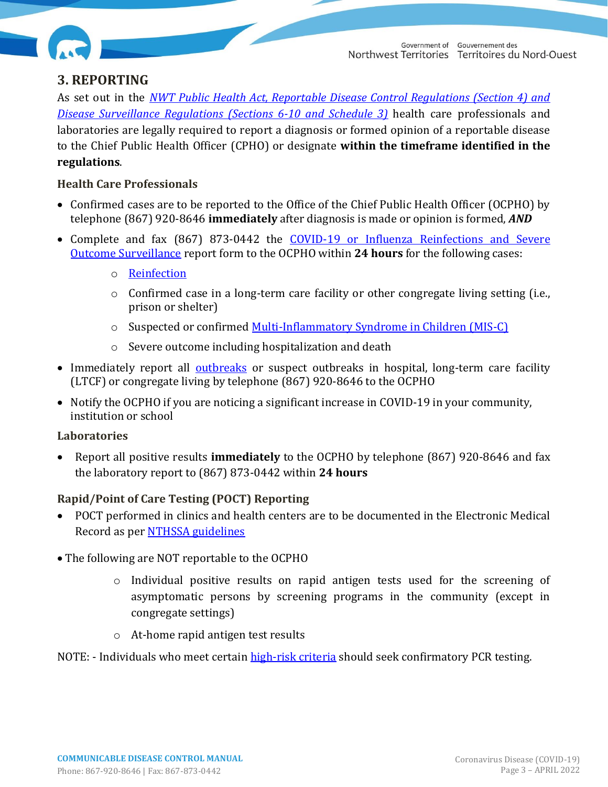

# <span id="page-2-1"></span><span id="page-2-0"></span>**3. [REPORTING](#page-2-1)**

As set out in the *[NWT Public Health Act, Reportable Disease Control Regulations \(Section 4\) and](https://www.hss.gov.nt.ca/en/about/legislation-and-policies)  [Disease Surveillance Regulations \(Sections 6-10 and Schedule 3\)](https://www.hss.gov.nt.ca/en/about/legislation-and-policies)* health care professionals and laboratories are legally required to report a diagnosis or formed opinion of a reportable disease to the Chief Public Health Officer (CPHO) or designate **within the timeframe identified in the regulations**.

## **Health Care Professionals**

- Confirmed cases are to be reported to the Office of the Chief Public Health Officer (OCPHO) by telephone (867) 920-8646 **immediately** after diagnosis is made or opinion is formed, *AND*
- Complete and fax (867) 873-0442 the [COVID-19 or Influenza Reinfections](https://www.hss.gov.nt.ca/professionals/sites/professionals/files/resources/covid-19-influenza-severe-outcome-surveillance-report-form.pdf) and Severe [Outcome Surveillance](https://www.hss.gov.nt.ca/professionals/sites/professionals/files/resources/covid-19-influenza-severe-outcome-surveillance-report-form.pdf) report form to the OCPHO within **24 hours** for the following cases:
	- o [Reinfection](#page-8-0)
	- $\circ$  Confirmed case in a long-term care facility or other congregate living setting (i.e., prison or shelter)
	- o Suspected or confirmed [Multi-Inflammatory Syndrome in Children \(MIS-C\)](#page-5-0)
	- o Severe outcome including hospitalization and death
- Immediately report all [outbreaks](#page-12-0) or suspect outbreaks in hospital, long-term care facility (LTCF) or congregate living by telephone (867) 920-8646 to the OCPHO
- Notify the OCPHO if you are noticing a significant increase in COVID-19 in your community, institution or school

#### **Laboratories**

• Report all positive results **immediately** to the OCPHO by telephone (867) 920-8646 and fax the laboratory report to (867) 873-0442 within **24 hours**

## **Rapid/Point of Care Testing (POCT) Reporting**

- POCT performed in clinics and health centers are to be documented in the Electronic Medical Record as pe[r NTHSSA guidelines](https://ournthssa.ca/hubs/covid-19-information/covid19-tools-resources/)
- The following are NOT reportable to the OCPHO
	- o Individual positive results on rapid antigen tests used for the screening of asymptomatic persons by screening programs in the community (except in congregate settings)
	- o At-home rapid antigen test results

NOTE: - Individuals who meet certain [high-risk criteria](https://www.canada.ca/en/public-health/services/publications/diseases-conditions/people-high-risk-for-severe-illness-covid-19.html) should seek confirmatory PCR testing.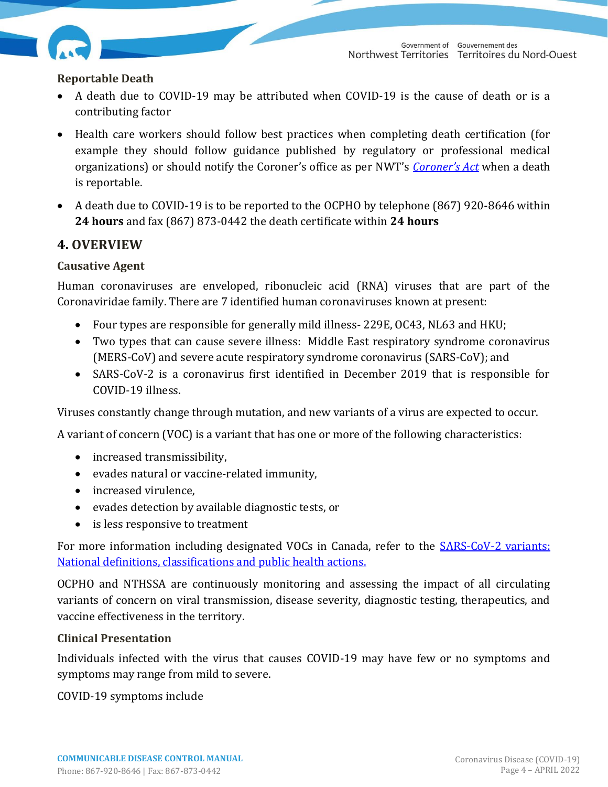

## **Reportable Death**

- A death due to COVID-19 may be attributed when COVID-19 is the cause of death or is a contributing factor
- Health care workers should follow best practices when completing death certification (for example they should follow guidance published by regulatory or professional medical organizations) or should notify the Coroner's office as per NWT's *[Coroner's Act](https://www.justice.gov.nt.ca/en/files/legislation/coroners/coroners.a.pdf)* when a death is reportable.
- A death due to COVID-19 is to be reported to the OCPHO by telephone (867) 920-8646 within **24 hours** and fax (867) 873-0442 the death certificate within **24 hours**

# <span id="page-3-0"></span>**4. [OVERVIEW](#page-3-0)**

## **Causative Agent**

Human coronaviruses are enveloped, ribonucleic acid (RNA) viruses that are part of the Coronaviridae family. There are 7 identified human coronaviruses known at present:

- Four types are responsible for generally mild illness-229E, OC43, NL63 and HKU;
- Two types that can cause severe illness: Middle East respiratory syndrome coronavirus (MERS-CoV) and severe acute respiratory syndrome coronavirus (SARS-CoV); and
- SARS-CoV-2 is a coronavirus first identified in December 2019 that is responsible for COVID-19 illness.

Viruses constantly change through mutation, and new variants of a virus are expected to occur.

A variant of concern (VOC) is a variant that has one or more of the following characteristics:

- increased transmissibility,
- evades natural or vaccine-related immunity,
- increased virulence.
- evades detection by available diagnostic tests, or
- is less responsive to treatment

For more information including designated VOCs in Canada, refer to the **SARS-CoV-2** variants: [National definitions, classifications and public health actions.](https://www.canada.ca/en/public-health/services/diseases/2019-novel-coronavirus-infection/health-professionals/testing-diagnosing-case-reporting/sars-cov-2-variants-national-definitions-classifications-public-health-actions.html#a3)

OCPHO and NTHSSA are continuously monitoring and assessing the impact of all circulating variants of concern on viral transmission, disease severity, diagnostic testing, therapeutics, and vaccine effectiveness in the territory.

#### <span id="page-3-1"></span>**Clinical Presentation**

Individuals infected with the virus that causes COVID-19 may have few or no symptoms and symptoms may range from mild to severe.

COVID-19 symptoms include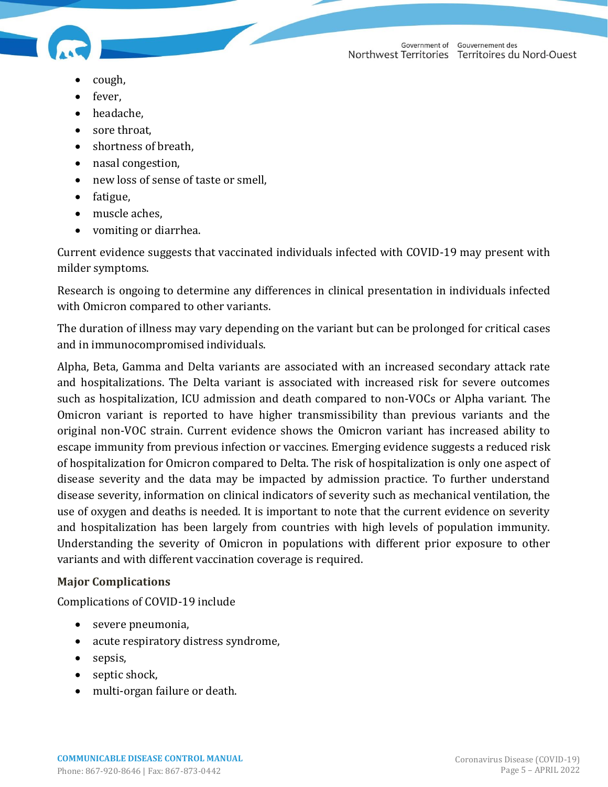

- - cough,
	- fever,
	- headache,
	- sore throat,
	- shortness of breath,
	- nasal congestion,
	- new loss of sense of taste or smell,
	- fatigue,
	- muscle aches,
	- vomiting or diarrhea.

Current evidence suggests that vaccinated individuals infected with COVID-19 may present with milder symptoms.

Research is ongoing to determine any differences in clinical presentation in individuals infected with Omicron compared to other variants.

The duration of illness may vary depending on the variant but can be prolonged for critical cases and in immunocompromised individuals.

Alpha, Beta, Gamma and Delta variants are associated with an increased secondary attack rate and hospitalizations. The Delta variant is associated with increased risk for severe outcomes such as hospitalization, ICU admission and death compared to non-VOCs or Alpha variant. The Omicron variant is reported to have higher transmissibility than previous variants and the original non-VOC strain. Current evidence shows the Omicron variant has increased ability to escape immunity from previous infection or vaccines. Emerging evidence suggests a reduced risk of hospitalization for Omicron compared to Delta. The risk of hospitalization is only one aspect of disease severity and the data may be impacted by admission practice. To further understand disease severity, information on clinical indicators of severity such as mechanical ventilation, the use of oxygen and deaths is needed. It is important to note that the current evidence on severity and hospitalization has been largely from countries with high levels of population immunity. Understanding the severity of Omicron in populations with different prior exposure to other variants and with different vaccination coverage is required.

# **Major Complications**

Complications of COVID-19 include

- severe pneumonia,
- acute respiratory distress syndrome,
- sepsis,
- septic shock,
- multi-organ failure or death.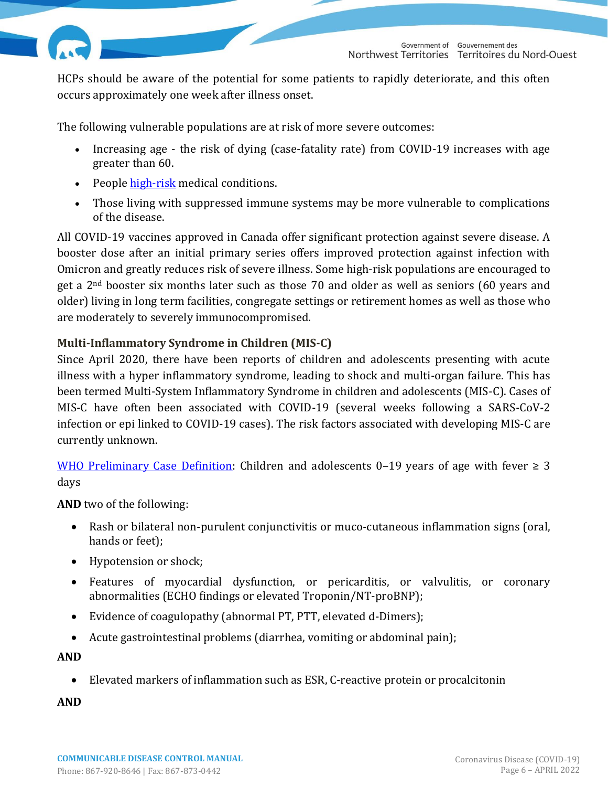HCPs should be aware of the potential for some patients to rapidly deteriorate, and this often occurs approximately one week after illness onset.

The following vulnerable populations are at risk of more severe outcomes:

- Increasing age the risk of dying (case-fatality rate) from COVID-19 increases with age greater than 60.
- People [high-risk](https://www.canada.ca/en/public-health/services/publications/diseases-conditions/people-high-risk-for-severe-illness-covid-19.html) medical conditions.
- Those living with suppressed immune systems may be more vulnerable to complications of the disease.

All COVID-19 vaccines approved in Canada offer significant protection against severe disease. A booster dose after an initial primary series offers improved protection against infection with Omicron and greatly reduces risk of severe illness. Some high-risk populations are encouraged to get a 2nd booster six months later such as those 70 and older as well as seniors (60 years and older) living in long term facilities, congregate settings or retirement homes as well as those who are moderately to severely immunocompromised.

## <span id="page-5-0"></span>**Multi-Inflammatory Syndrome in Children (MIS-C)**

Since April 2020, there have been reports of children and adolescents presenting with acute illness with a hyper inflammatory syndrome, leading to shock and multi-organ failure. This has been termed Multi-System Inflammatory Syndrome in children and adolescents (MIS-C). Cases of MIS-C have often been associated with COVID-19 (several weeks following a SARS-CoV-2 infection or epi linked to COVID-19 cases). The risk factors associated with developing MIS-C are currently unknown.

[WHO Preliminary Case](https://www.who.int/news-room/commentaries/detail/multisystem-inflammatory-syndrome-in-children-and-adolescents-with-covid-19) Definition: Children and adolescents 0–19 years of age with fever  $\geq 3$ days

**AND** two of the following:

- Rash or bilateral non-purulent conjunctivitis or muco-cutaneous inflammation signs (oral, hands or feet);
- Hypotension or shock;
- Features of myocardial dysfunction, or pericarditis, or valvulitis, or coronary abnormalities (ECHO findings or elevated Troponin/NT-proBNP);
- Evidence of coagulopathy (abnormal PT, PTT, elevated d-Dimers);
- Acute gastrointestinal problems (diarrhea, vomiting or abdominal pain);

**AND**

• Elevated markers of inflammation such as ESR, C-reactive protein or procalcitonin

**AND**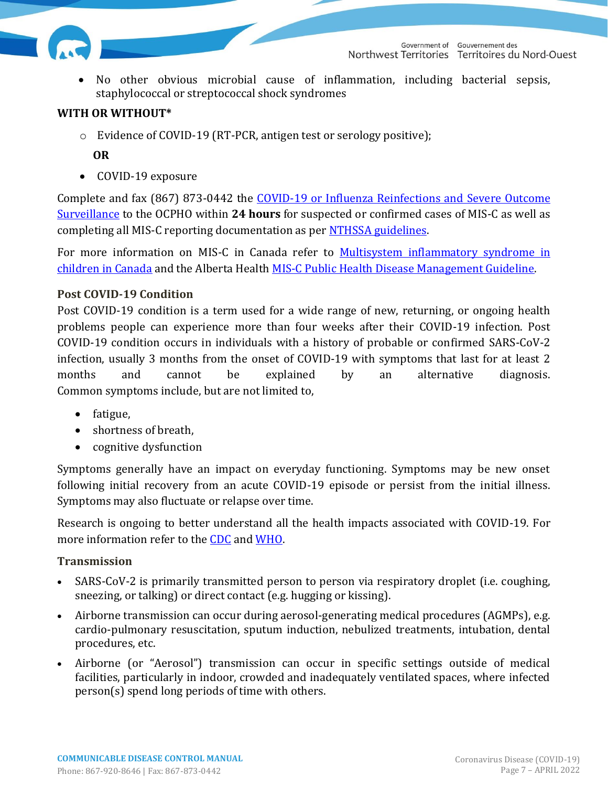

• No other obvious microbial cause of inflammation, including bacterial sepsis, staphylococcal or streptococcal shock syndromes

#### **WITH OR WITHOUT\***

o Evidence of COVID-19 (RT-PCR, antigen test or serology positive);

## **OR**

• COVID-19 exposure

Complete and fax (867) 873-0442 the [COVID-19 or Influenza Reinfections](https://www.hss.gov.nt.ca/professionals/sites/professionals/files/resources/covid-19-influenza-severe-outcome-surveillance-report-form.pdf) and Severe Outcome [Surveillance](https://www.hss.gov.nt.ca/professionals/sites/professionals/files/resources/covid-19-influenza-severe-outcome-surveillance-report-form.pdf) to the OCPHO within **24 hours** for suspected or confirmed cases of MIS-C as well as completing all MIS-C reporting documentation as per [NTHSSA guidelines.](https://ournthssa.ca/)

For more information on MIS-C in Canada refer to [Multisystem inflammatory syndrome in](https://www.canada.ca/en/public-health/services/reports-publications/canada-communicable-disease-report-ccdr/monthly-issue/2021-47/issue-11-november-2021/multisystem-inflammatory-syndrome-children-canada.html)  [children in Canada](https://www.canada.ca/en/public-health/services/reports-publications/canada-communicable-disease-report-ccdr/monthly-issue/2021-47/issue-11-november-2021/multisystem-inflammatory-syndrome-children-canada.html) and the Alberta Health [MIS-C Public Health Disease Management Guideline.](https://open.alberta.ca/dataset/multisystem-inflammatory-syndrome-in-children-and-adolescents)

#### **Post COVID-19 Condition**

Post COVID-19 condition is a term used for a wide range of new, returning, or ongoing health problems people can experience more than four weeks after their COVID-19 infection. Post COVID-19 condition occurs in individuals with a history of probable or confirmed SARS-CoV-2 infection, usually 3 months from the onset of COVID-19 with symptoms that last for at least 2 months and cannot be explained by an alternative diagnosis. Common symptoms include, but are not limited to,

- fatigue,
- shortness of breath,
- cognitive dysfunction

Symptoms generally have an impact on everyday functioning. Symptoms may be new onset following initial recovery from an acute COVID-19 episode or persist from the initial illness. Symptoms may also fluctuate or relapse over time.

Research is ongoing to better understand all the health impacts associated with COVID-19. For more information refer to the [CDC](https://www.cdc.gov/coronavirus/2019-ncov/long-term-effects/index.html?CDC_AA_refVal=https%3A%2F%2Fwww.cdc.gov%2Fcoronavirus%2F2019-ncov%2Flong-term-effects.html) and [WHO.](https://www.who.int/publications/i/item/WHO-2019-nCoV-Post_COVID-19_condition-Clinical_case_definition-2021.1)

#### **Transmission**

- SARS-CoV-2 is primarily transmitted person to person via respiratory droplet (i.e. coughing, sneezing, or talking) or direct contact (e.g. hugging or kissing).
- Airborne transmission can occur during aerosol-generating medical procedures (AGMPs), e.g. cardio-pulmonary resuscitation, sputum induction, nebulized treatments, intubation, dental procedures, etc.
- Airborne (or "Aerosol") transmission can occur in specific settings outside of medical facilities, particularly in indoor, crowded and inadequately ventilated spaces, where infected person(s) spend long periods of time with others.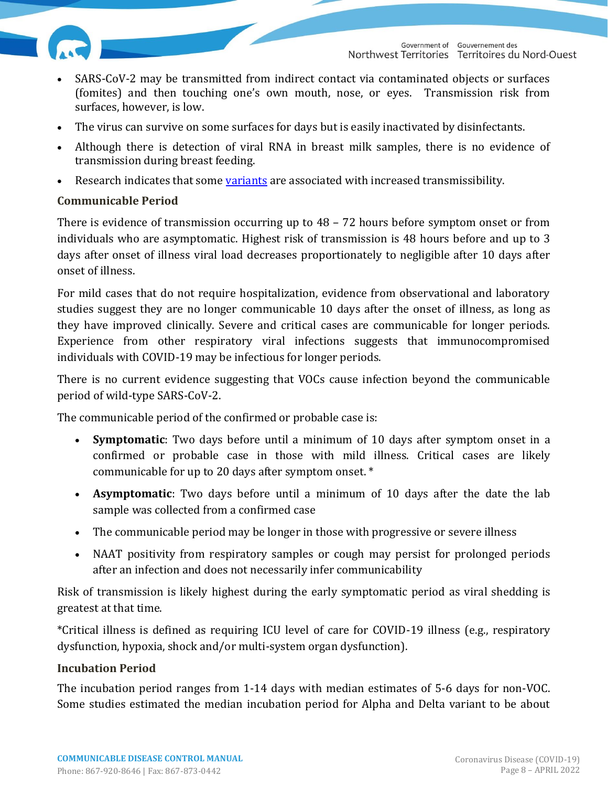

- SARS-CoV-2 may be transmitted from indirect contact via contaminated objects or surfaces (fomites) and then touching one's own mouth, nose, or eyes. Transmission risk from surfaces, however, is low.
- The virus can survive on some surfaces for days but is easily inactivated by disinfectants.
- Although there is detection of viral RNA in breast milk samples, there is no evidence of transmission during breast feeding.
- Research indicates that some [variants](https://www.canada.ca/en/public-health/services/diseases/2019-novel-coronavirus-infection/health-professionals/testing-diagnosing-case-reporting/sars-cov-2-variants-national-definitions-classifications-public-health-actions.html#a3) are associated with increased transmissibility.

## **Communicable Period**

There is evidence of transmission occurring up to 48 – 72 hours before symptom onset or from individuals who are asymptomatic. Highest risk of transmission is 48 hours before and up to 3 days after onset of illness viral load decreases proportionately to negligible after 10 days after onset of illness.

For mild cases that do not require hospitalization, evidence from observational and laboratory studies suggest they are no longer communicable 10 days after the onset of illness, as long as they have improved clinically. Severe and critical cases are communicable for longer periods. Experience from other respiratory viral infections suggests that immunocompromised individuals with COVID-19 may be infectious for longer periods.

There is no current evidence suggesting that VOCs cause infection beyond the communicable period of wild-type SARS-CoV-2.

The communicable period of the confirmed or probable case is:

- **Symptomatic**: Two days before until a minimum of 10 days after symptom onset in a confirmed or probable case in those with mild illness. Critical cases are likely communicable for up to 20 days after symptom onset. \*
- **Asymptomatic**: Two days before until a minimum of 10 days after the date the lab sample was collected from a confirmed case
- The communicable period may be longer in those with progressive or severe illness
- NAAT positivity from respiratory samples or cough may persist for prolonged periods after an infection and does not necessarily infer communicability

Risk of transmission is likely highest during the early symptomatic period as viral shedding is greatest at that time.

\*Critical illness is defined as requiring ICU level of care for COVID-19 illness (e.g., respiratory dysfunction, hypoxia, shock and/or multi-system organ dysfunction).

#### **Incubation Period**

The incubation period ranges from 1-14 days with median estimates of 5-6 days for non-VOC. Some studies estimated the median incubation period for Alpha and Delta variant to be about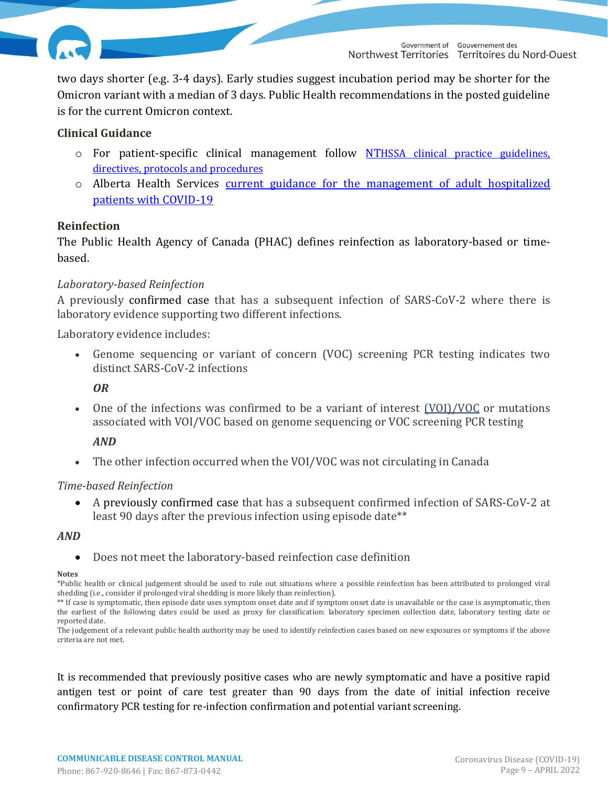

two days shorter (e.g. 3-4 days). Early studies suggest incubation period may be shorter for the Omicron variant with a median of 3 days. Public Health recommendations in the posted guideline is for the current Omicron context.

#### **Clinical Guidance**

- o For patient-specific clinical management follow NT[HSSA clinical practice guidelines,](https://ournthssa.ca/hubs/covid-19-information/covid19-tools-resources/)  [directives, protocols and procedures](https://ournthssa.ca/hubs/covid-19-information/covid19-tools-resources/)
- o Alberta Health Services [current guidance for the management of adult hospitalized](https://www.albertahealthservices.ca/assets/info/ppih/if-ppih-covid-19-recommendations.pdf)  [patients with COVID-19](https://www.albertahealthservices.ca/assets/info/ppih/if-ppih-covid-19-recommendations.pdf)

#### <span id="page-8-0"></span>**Reinfection**

The Public Health Agency of Canada (PHAC) defines reinfection as laboratory-based or timebased.

#### *Laboratory-based Reinfection*

A previously confirmed case that has a subsequent infection of SARS-CoV-2 where there is laboratory evidence supporting two different infections.

Laboratory evidence includes:

• Genome sequencing or variant of concern (VOC) screening PCR testing indicates two distinct SARS-CoV-2 infections

*OR*

One of the infections was confirmed to be a variant of interest [\(VOI\)/VOC](https://www.canada.ca/en/public-health/services/diseases/2019-novel-coronavirus-infection/health-professionals/testing-diagnosing-case-reporting/sars-cov-2-variants-national-definitions-classifications-public-health-actions.html) or mutations associated with VOI/VOC based on genome sequencing or VOC screening PCR testing

*AND*

• The other infection occurred when the VOI/VOC was not circulating in Canada

#### *Time-based Reinfection*

• A previously confirmed case that has a subsequent confirmed infection of SARS-CoV-2 at least 90 days after the previous infection using episode date\*\*

#### *AND*

• Does not meet the laboratory-based reinfection case definition

#### **Notes**

\*Public health or clinical judgement should be used to rule out situations where a possible reinfection has been attributed to prolonged viral shedding (i.e., consider if prolonged viral shedding is more likely than reinfection).

\*\* If case is symptomatic, then episode date uses symptom onset date and if symptom onset date is unavailable or the case is asymptomatic, then the earliest of the following dates could be used as proxy for classification: laboratory specimen collection date, laboratory testing date or reported date.

The judgement of a relevant public health authority may be used to identify reinfection cases based on new exposures or symptoms if the above criteria are not met.

It is recommended that previously positive cases who are newly symptomatic and have a positive rapid antigen test or point of care test greater than 90 days from the date of initial infection receive confirmatory PCR testing for re-infection confirmation and potential variant screening.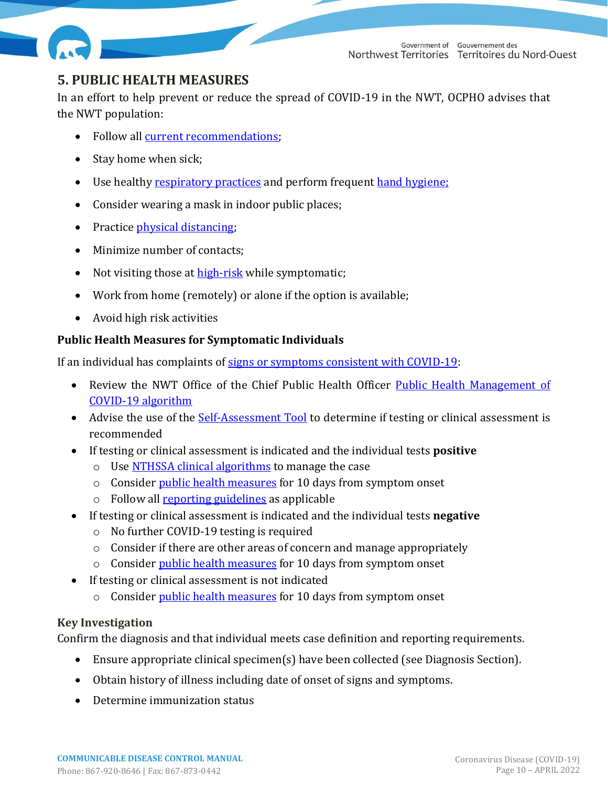

Government of Gouvernement des Northwest Territories Territoires du Nord-Ouest

# <span id="page-9-1"></span><span id="page-9-0"></span>**5. PUBLIC HEALTH MEASURES**

In an effort to help prevent or reduce the spread of COVID-19 in the NWT, OCPHO advises that the NWT population:

- Follow all [current recommendations;](https://www.hss.gov.nt.ca/en/services/covid-19/current-recommendations)
- Stay home when sick;
- Use healthy [respiratory practices](https://www.hss.gov.nt.ca/sites/hss/files/resources/healthy-respiratory-practices.pdf) and perform frequent [hand hygiene;](https://www.hss.gov.nt.ca/sites/hss/files/resources/handwashinginfographicbig-web.pdf)
- Consider wearing a mask in indoor public places;
- Practic[e physical distancing;](https://www.canada.ca/content/dam/phac-aspc/documents/services/publications/diseases-conditions/coronavirus/social-distancing/social-distancing-eng.pdf)
- Minimize number of contacts;
- Not visiting those a[t high-risk](https://www.canada.ca/en/public-health/services/publications/diseases-conditions/people-high-risk-for-severe-illness-covid-19.html) while symptomatic;
- Work from home (remotely) or alone if the option is available;
- Avoid high risk activities

## **Public Health Measures for Symptomatic Individuals**

If an individual has complaints o[f signs or symptoms consistent with COVID-19:](#page-3-1)

- Review the NWT Office of the Chief Public Health Officer Public Health Management of [COVID-19 algorithm](https://www.hss.gov.nt.ca/professionals/sites/professionals/files/resources/ocpho_covid-19_algorithm_apr_1.pdf)
- Advise the use of the [Self-Assessment Tool](https://form.jotform.com/220104262304235) to determine if testing or clinical assessment is recommended
- If testing or clinical assessment is indicated and the individual tests **positive**
	- o Use [NTHSSA clinical algorithms](https://ournthssa.ca/hubs/covid-19-information/covid19-tools-resources/) to manage the case
	- o Consider [public health measures](#page-9-1) for 10 days from symptom onset
	- o Follow all [reporting guidelines](#page-2-0) as applicable
- If testing or clinical assessment is indicated and the individual tests **negative**
	- o No further COVID-19 testing is required
	- o Consider if there are other areas of concern and manage appropriately
	- o Consider [public health measures](#page-9-1) for 10 days from symptom onset
- If testing or clinical assessment is not indicated
	- o Consider [public health measures](#page-9-1) for 10 days from symptom onset

## **Key Investigation**

Confirm the diagnosis and that individual meets case definition and reporting requirements.

- Ensure appropriate clinical specimen(s) have been collected (see Diagnosis Section).
- Obtain history of illness including date of onset of signs and symptoms.
- Determine immunization status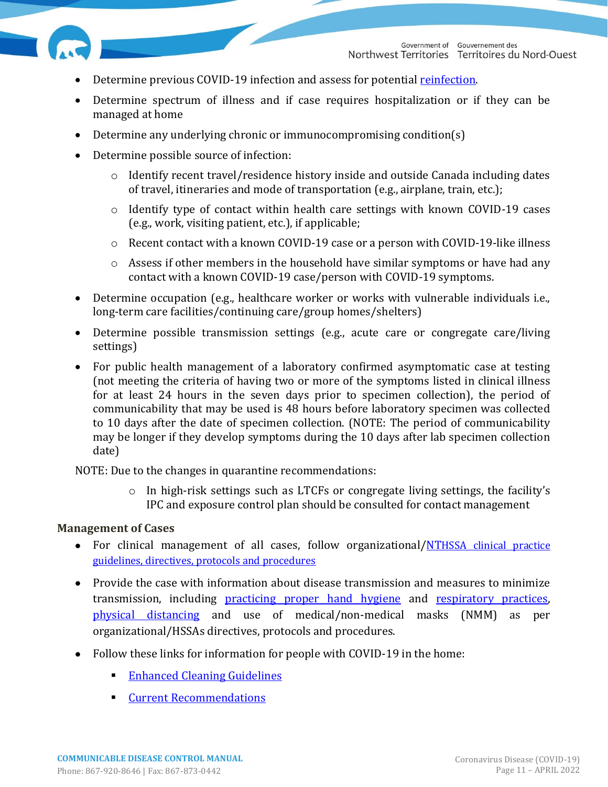

- Determine previous COVID-19 infection and assess for potential [reinfection.](#page-8-0)
- Determine spectrum of illness and if case requires hospitalization or if they can be managed at home
- Determine any underlying chronic or immunocompromising condition(s)
- Determine possible source of infection:
	- o Identify recent travel/residence history inside and outside Canada including dates of travel, itineraries and mode of transportation (e.g., airplane, train, etc.);
	- o Identify type of contact within health care settings with known COVID-19 cases (e.g., work, visiting patient, etc.), if applicable;
	- o Recent contact with a known COVID-19 case or a person with COVID-19-like illness
	- o Assess if other members in the household have similar symptoms or have had any contact with a known COVID-19 case/person with COVID-19 symptoms.
- Determine occupation (e.g., healthcare worker or works with vulnerable individuals i.e., long-term care facilities/continuing care/group homes/shelters)
- Determine possible transmission settings (e.g., acute care or congregate care/living settings)
- For public health management of a laboratory confirmed asymptomatic case at testing (not meeting the criteria of having two or more of the symptoms listed in clinical illness for at least 24 hours in the seven days prior to specimen collection), the period of communicability that may be used is 48 hours before laboratory specimen was collected to 10 days after the date of specimen collection. (NOTE: The period of communicability may be longer if they develop symptoms during the 10 days after lab specimen collection date)

NOTE: Due to the changes in quarantine recommendations:

 $\circ$  In high-risk settings such as LTCFs or congregate living settings, the facility's IPC and exposure control plan should be consulted for contact management

#### **Management of Cases**

- For clinical management of all cases, follow organizational/NTHSSA clinical practice [guidelines, directives, protocols and procedures](https://ournthssa.ca/hubs/covid-19-information/covid19-tools-resources/)
- Provide the case with information about disease transmission and measures to minimize transmission, including [practicing proper hand hygiene](https://www.hss.gov.nt.ca/sites/hss/files/resources/handwashinginfographicbig-web.pdf) and [respiratory practices,](https://www.hss.gov.nt.ca/sites/hss/files/resources/healthy-respiratory-practices.pdf) [physical distancing](https://www.canada.ca/content/dam/phac-aspc/documents/services/publications/diseases-conditions/coronavirus/social-distancing/social-distancing-eng.pdf) and use of medical/non-medical masks (NMM) as per organizational/HSSAs directives, protocols and procedures.
- Follow these links for information for people with COVID-19 in the home:
	- **[Enhanced Cleaning Guidelines](https://www.hss.gov.nt.ca/sites/hss/files/resources/enhanced-cleaning-checklist_0.pdf)**
	- **[Current Recommendations](https://www.hss.gov.nt.ca/en/services/covid-19/current-recommendations)**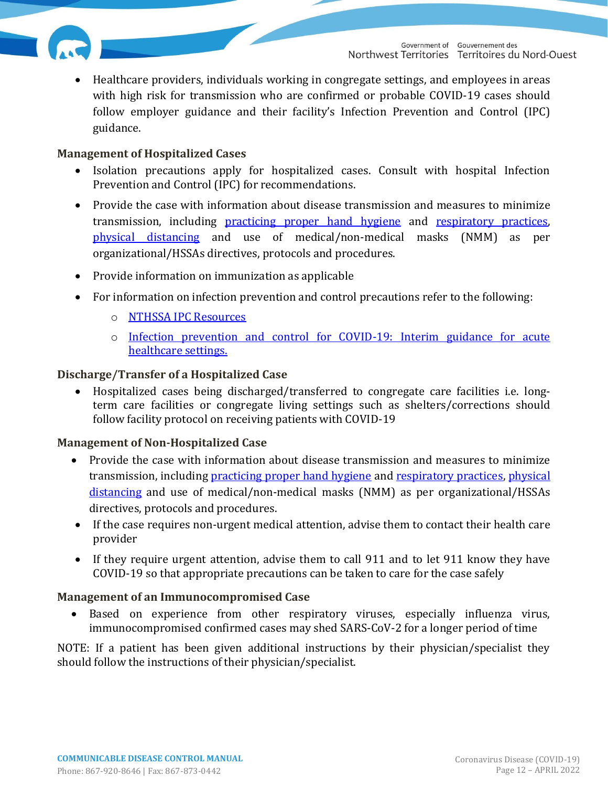

• Healthcare providers, individuals working in congregate settings, and employees in areas with high risk for transmission who are confirmed or probable COVID-19 cases should follow employer guidance and their facility's Infection Prevention and Control (IPC) guidance.

#### **Management of Hospitalized Cases**

- Isolation precautions apply for hospitalized cases. Consult with hospital Infection Prevention and Control (IPC) for recommendations.
- Provide the case with information about disease transmission and measures to minimize transmission, including [practicing proper hand hygiene](https://www.hss.gov.nt.ca/sites/hss/files/resources/handwashinginfographicbig-web.pdf) and [respiratory practices,](https://www.hss.gov.nt.ca/sites/hss/files/resources/healthy-respiratory-practices.pdf) [physical distancing](https://www.canada.ca/content/dam/phac-aspc/documents/services/publications/diseases-conditions/coronavirus/social-distancing/social-distancing-eng.pdf) and use of medical/non-medical masks (NMM) as per organizational/HSSAs directives, protocols and procedures.
- Provide information on immunization as applicable
- For information on infection prevention and control precautions refer to the following:
	- o [NTHSSA IPC Resources](https://www.hss.gov.nt.ca/professionals/sites/professionals/files/resources/infection-control-manual.pdf)
	- o [Infection prevention and control for COVID-19: Interim guidance for acute](https://ournthssa.ca/document_library/infection-prevention-and-control-for-novel-coronavirus-covid-19-interim-guidance-for-acute-care/)  [healthcare settings.](https://ournthssa.ca/document_library/infection-prevention-and-control-for-novel-coronavirus-covid-19-interim-guidance-for-acute-care/)

#### **Discharge/Transfer of a Hospitalized Case**

• Hospitalized cases being discharged/transferred to congregate care facilities i.e. longterm care facilities or congregate living settings such as shelters/corrections should follow facility protocol on receiving patients with COVID-19

#### **Management of Non-Hospitalized Case**

- Provide the case with information about disease transmission and measures to minimize transmission, including [practicing proper hand hygiene](https://www.hss.gov.nt.ca/sites/hss/files/resources/handwashinginfographicbig-web.pdf) and [respiratory practices,](https://www.hss.gov.nt.ca/sites/hss/files/resources/healthy-respiratory-practices.pdf) [physical](https://www.canada.ca/content/dam/phac-aspc/documents/services/publications/diseases-conditions/coronavirus/social-distancing/social-distancing-eng.pdf)  [distancing](https://www.canada.ca/content/dam/phac-aspc/documents/services/publications/diseases-conditions/coronavirus/social-distancing/social-distancing-eng.pdf) and use of medical/non-medical masks (NMM) as per organizational/HSSAs directives, protocols and procedures.
- If the case requires non-urgent medical attention, advise them to contact their health care provider
- If they require urgent attention, advise them to call 911 and to let 911 know they have COVID-19 so that appropriate precautions can be taken to care for the case safely

#### **Management of an Immunocompromised Case**

• Based on experience from other respiratory viruses, especially influenza virus, immunocompromised confirmed cases may shed SARS-CoV-2 for a longer period of time

NOTE: If a patient has been given additional instructions by their physician/specialist they should follow the instructions of their physician/specialist.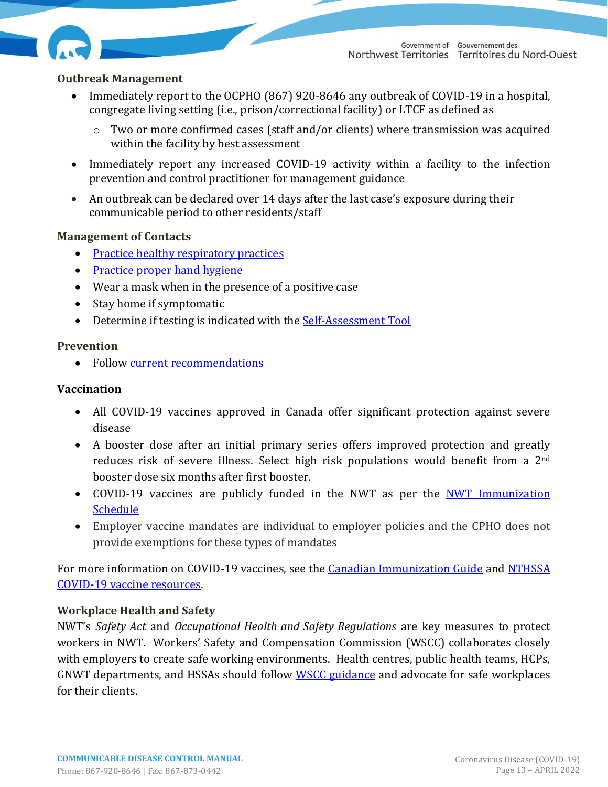

#### <span id="page-12-0"></span>**Outbreak Management**

- Immediately report to the OCPHO (867) 920-8646 any outbreak of COVID-19 in a hospital, congregate living setting (i.e., prison/correctional facility) or LTCF as defined as
	- o Two or more confirmed cases (staff and/or clients) where transmission was acquired within the facility by best assessment
- Immediately report any increased COVID-19 activity within a facility to the infection prevention and control practitioner for management guidance
- An outbreak can be declared over 14 days after the last case's exposure during their communicable period to other residents/staff

#### **Management of Contacts**

- [Practice healthy respiratory practices](https://www.hss.gov.nt.ca/sites/hss/files/resources/healthy-respiratory-practices.pdf)
- Practice [proper hand hygiene](https://www.hss.gov.nt.ca/sites/hss/files/resources/handwashinginfographicbig-web.pdf)
- Wear a mask when in the presence of a positive case
- Stay home if symptomatic
- Determine if testing is indicated with the [Self-Assessment Tool](https://form.jotform.com/220104262304235)

#### **Prevention**

• Follow [current recommendations](https://www.hss.gov.nt.ca/en/services/covid-19/current-recommendations)

#### **Vaccination**

- All COVID-19 vaccines approved in Canada offer significant protection against severe disease
- A booster dose after an initial primary series offers improved protection and greatly reduces risk of severe illness. Select high risk populations would benefit from a 2nd booster dose six months after first booster.
- COVID-19 vaccines are publicly funded in the NWT as per the NWT Immunization [Schedule](https://www.hss.gov.nt.ca/professionals/en/nwt-immunization-schedule-health-care-professionals)
- Employer vaccine mandates are individual to employer policies and the CPHO does not provide exemptions for these types of mandates

For more information on COVID-19 vaccines, see the **Canadian Immunization Guide** and NTHSSA [COVID-19 vaccine resources.](https://www.hss.gov.nt.ca/en/services/immunization-vaccination)

#### **Workplace Health and Safety**

NWT's *Safety Act* and *Occupational Health and Safety Regulations* are key measures to protect workers in NWT. Workers' Safety and Compensation Commission (WSCC) collaborates closely with employers to create safe working environments. Health centres, public health teams, HCPs, GNWT departments, and HSSAs should follow [WSCC guidance](https://www.wscc.nt.ca/) and advocate for safe workplaces for their clients.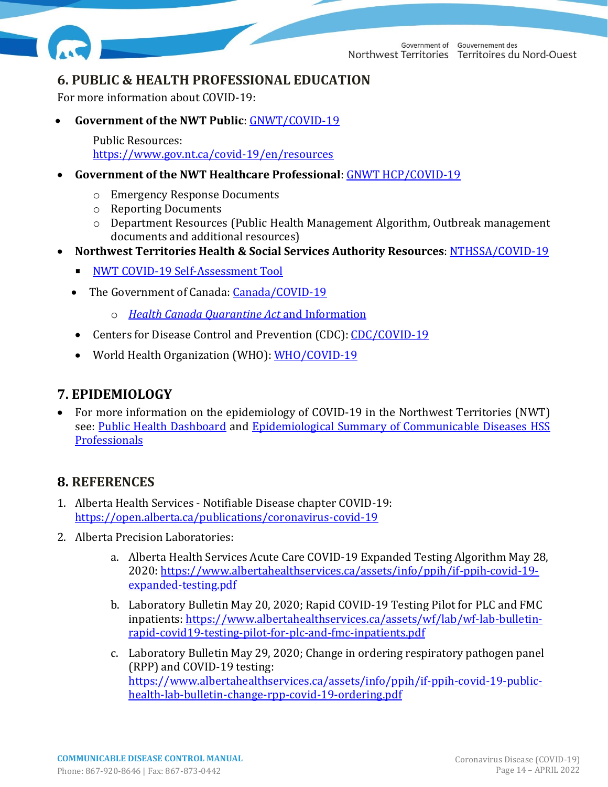

Government of Gouvernement des Northwest Territories Territoires du Nord-Ouest

# <span id="page-13-0"></span>**6. PUBLIC & HEALTH PROFESSIONAL EDUCATION**

For more information about COVID-19:

• **Government of the NWT Public**: [GNWT/COVID-19](https://www.gov.nt.ca/covid-19/)

**›** Public Resources: <https://www.gov.nt.ca/covid-19/en/resources>

- **Government of the NWT Healthcare Professional**: [GNWT HCP/COVID-19](https://www.hss.gov.nt.ca/professionals/en/services/coronavirus-disease-covid-19)
	- o Emergency Response Documents
	- o Reporting Documents
	- o Department Resources (Public Health Management Algorithm, Outbreak management documents and additional resources)
- **Northwest Territories Health & Social Services Authority Resources**: [NTHSSA/COVID-19](https://ournthssa.ca/hubs/covid-19-information/)
	- **EXECUTE: [NWT COVID-19 Self-Assessment Tool](https://form.jotform.com/220104262304235)**
	- The Government of Canada: [Canada/COVID-19](https://www.canada.ca/en/public-health/services/diseases/coronavirus-disease-covid-19.html?utm_campaign=not-applicable&utm_medium=vanity-url&utm_source=canada-ca_covid-19)
		- o *[Health Canada Quarantine Act](https://www.canada.ca/en/public-health/services/diseases/2019-novel-coronavirus-infection/latest-travel-health-advice.html#f)* and Information
	- Centers for Disease Control and Prevention (CDC)[: CDC/COVID-19](https://www.cdc.gov/coronavirus/2019-ncov/index.html)
	- World Health Organization (WHO): [WHO/COVID-19](https://www.who.int/emergencies/diseases/novel-coronavirus-2019)

# <span id="page-13-1"></span>**7. EPIDEMIOLOGY**

• For more information on the epidemiology of COVID-19 in the Northwest Territories (NWT) see: [Public Health](https://www.gov.nt.ca/covid-19/sites/covid/files/resources/pho_-_mpr_en_2.pdf) Dashboard and [Epidemiological Summary of Communicable Diseases HSS](http://www.professionals.hss.gov.nt.ca/tools/policies-and-guidelines-standards-and-manuals/epi-summary-communicable-diseases)  [Professionals](http://www.professionals.hss.gov.nt.ca/tools/policies-and-guidelines-standards-and-manuals/epi-summary-communicable-diseases)

# <span id="page-13-2"></span>**8. REFERENCES**

- 1. Alberta Health Services Notifiable Disease chapter COVID-19: <https://open.alberta.ca/publications/coronavirus-covid-19>
- 2. Alberta Precision Laboratories:
	- a. Alberta Health Services Acute Care COVID-19 Expanded Testing Algorithm May 28, 2020: [https://www.albertahealthservices.ca/assets/info/ppih/if-ppih-covid-19](https://www.albertahealthservices.ca/assets/info/ppih/if-ppih-covid-19-expanded-testing.pdf) [expanded-testing.pdf](https://www.albertahealthservices.ca/assets/info/ppih/if-ppih-covid-19-expanded-testing.pdf)
	- b. Laboratory Bulletin May 20, 2020; Rapid COVID-19 Testing Pilot for PLC and FMC inpatients: [https://www.albertahealthservices.ca/assets/wf/lab/wf-lab-bulletin](https://www.albertahealthservices.ca/assets/wf/lab/wf-lab-bulletin-rapid-covid19-testing-pilot-for-plc-and-fmc-inpatients.pdf)[rapid-covid19-testing-pilot-for-plc-and-fmc-inpatients.pdf](https://www.albertahealthservices.ca/assets/wf/lab/wf-lab-bulletin-rapid-covid19-testing-pilot-for-plc-and-fmc-inpatients.pdf)
	- c. Laboratory Bulletin May 29, 2020; Change in ordering respiratory pathogen panel (RPP) and COVID-19 testing: [https://www.albertahealthservices.ca/assets/info/ppih/if-ppih-covid-19-public](https://www.albertahealthservices.ca/assets/info/ppih/if-ppih-covid-19-public-health-lab-bulletin-change-rpp-covid-19-ordering.pdf)[health-lab-bulletin-change-rpp-covid-19-ordering.pdf](https://www.albertahealthservices.ca/assets/info/ppih/if-ppih-covid-19-public-health-lab-bulletin-change-rpp-covid-19-ordering.pdf)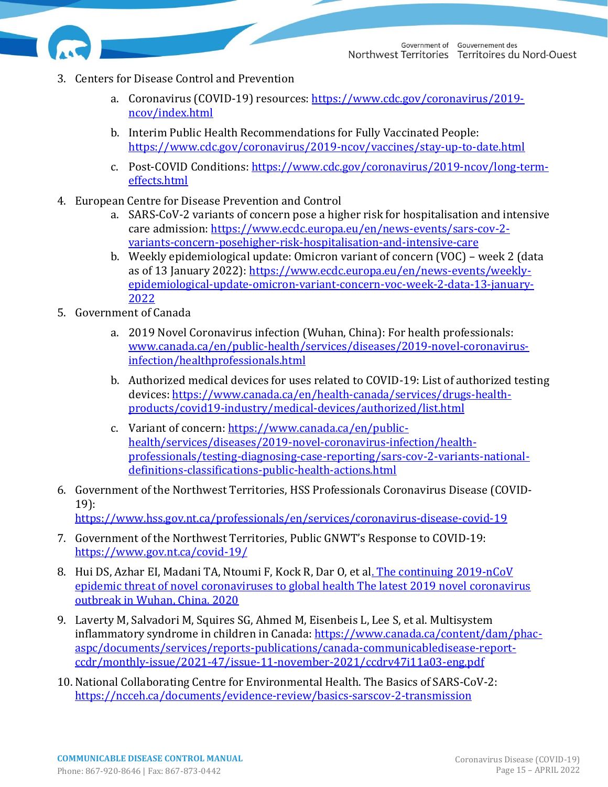

- 3. Centers for Disease Control and Prevention
	- a. Coronavirus (COVID-19) resources: [https://www.cdc.gov/coronavirus/2019](https://www.cdc.gov/coronavirus/2019-ncov/index.html) [ncov/index.html](https://www.cdc.gov/coronavirus/2019-ncov/index.html)
	- b. Interim Public Health Recommendations for Fully Vaccinated People: <https://www.cdc.gov/coronavirus/2019-ncov/vaccines/stay-up-to-date.html>
	- c. Post-COVID Conditions: [https://www.cdc.gov/coronavirus/2019-ncov/long-term](https://www.cdc.gov/coronavirus/2019-ncov/long-term-effects.html)[effects.html](https://www.cdc.gov/coronavirus/2019-ncov/long-term-effects.html)
- 4. European Centre for Disease Prevention and Control
	- a. SARS-CoV-2 variants of concern pose a higher risk for hospitalisation and intensive care admission[: https://www.ecdc.europa.eu/en/news-events/sars-cov-2](https://www.ecdc.europa.eu/en/news-events/sars-cov-2-variants-concern-posehigher-risk-hospitalisation-and-intensive-care) [variants-concern-posehigher-risk-hospitalisation-and-intensive-care](https://www.ecdc.europa.eu/en/news-events/sars-cov-2-variants-concern-posehigher-risk-hospitalisation-and-intensive-care)
	- b. Weekly epidemiological update: Omicron variant of concern (VOC) week 2 (data as of 13 January 2022): [https://www.ecdc.europa.eu/en/news-events/weekly](https://www.ecdc.europa.eu/en/news-events/weekly-epidemiological-update-omicron-variant-concern-voc-week-2-data-13-january-2022)[epidemiological-update-omicron-variant-concern-voc-week-2-data-13-january-](https://www.ecdc.europa.eu/en/news-events/weekly-epidemiological-update-omicron-variant-concern-voc-week-2-data-13-january-2022)[2022](https://www.ecdc.europa.eu/en/news-events/weekly-epidemiological-update-omicron-variant-concern-voc-week-2-data-13-january-2022)
- 5. Government of Canada
	- a. 2019 Novel Coronavirus infection (Wuhan, China): For health professionals: [www.canada.ca/en/public-health/services/diseases/2019-novel-coronavirus](http://www.canada.ca/en/public-health/services/diseases/2019-novel-coronavirus-infection/healthprofessionals.html)[infection/healthprofessionals.html](http://www.canada.ca/en/public-health/services/diseases/2019-novel-coronavirus-infection/healthprofessionals.html)
	- b. Authorized medical devices for uses related to COVID-19: List of authorized testing devices[: https://www.canada.ca/en/health-canada/services/drugs-health](https://www.canada.ca/en/health-canada/services/drugs-health-products/covid19-industry/medical-devices/authorized/list.html)[products/covid19-industry/medical-devices/authorized/list.html](https://www.canada.ca/en/health-canada/services/drugs-health-products/covid19-industry/medical-devices/authorized/list.html)
	- c. Variant of concern: [https://www.canada.ca/en/public](https://www.canada.ca/en/public-health/services/diseases/2019-novel-coronavirus-infection/health-professionals/testing-diagnosing-case-reporting/sars-cov-2-variants-national-definitions-classifications-public-health-actions.html)[health/services/diseases/2019-novel-coronavirus-infection/health](https://www.canada.ca/en/public-health/services/diseases/2019-novel-coronavirus-infection/health-professionals/testing-diagnosing-case-reporting/sars-cov-2-variants-national-definitions-classifications-public-health-actions.html)[professionals/testing-diagnosing-case-reporting/sars-cov-2-variants-national](https://www.canada.ca/en/public-health/services/diseases/2019-novel-coronavirus-infection/health-professionals/testing-diagnosing-case-reporting/sars-cov-2-variants-national-definitions-classifications-public-health-actions.html)[definitions-classifications-public-health-actions.html](https://www.canada.ca/en/public-health/services/diseases/2019-novel-coronavirus-infection/health-professionals/testing-diagnosing-case-reporting/sars-cov-2-variants-national-definitions-classifications-public-health-actions.html)
- 6. Government of the Northwest Territories, HSS Professionals Coronavirus Disease (COVID-19):

<https://www.hss.gov.nt.ca/professionals/en/services/coronavirus-disease-covid-19>

- 7. Government of the Northwest Territories, Public GNWT's Response to COVID-19: <https://www.gov.nt.ca/covid-19/>
- 8. Hui DS, Azhar EI, Madani TA, Ntoumi F, Kock R, Dar O, et al. The continuing 2019-nCoV [epidemic threat of novel coronaviruses to global health The latest 2019 novel coronavirus](https://www.ncbi.nlm.nih.gov/pmc/articles/PMC7128332/)  [outbreak in Wuhan, China. 2020](https://www.ncbi.nlm.nih.gov/pmc/articles/PMC7128332/)
- 9. Laverty M, Salvadori M, Squires SG, Ahmed M, Eisenbeis L, Lee S, et al. Multisystem inflammatory syndrome in children in Canada: [https://www.canada.ca/content/dam/phac](https://www.canada.ca/content/dam/phac-aspc/documents/services/reports-publications/canada-communicabledisease-report-ccdr/monthly-issue/2021-47/issue-11-november-2021/ccdrv47i11a03-eng.pdf)[aspc/documents/services/reports-publications/canada-communicabledisease-report](https://www.canada.ca/content/dam/phac-aspc/documents/services/reports-publications/canada-communicabledisease-report-ccdr/monthly-issue/2021-47/issue-11-november-2021/ccdrv47i11a03-eng.pdf)[ccdr/monthly-issue/2021-47/issue-11-november-2021/ccdrv47i11a03-eng.pdf](https://www.canada.ca/content/dam/phac-aspc/documents/services/reports-publications/canada-communicabledisease-report-ccdr/monthly-issue/2021-47/issue-11-november-2021/ccdrv47i11a03-eng.pdf)
- 10. National Collaborating Centre for Environmental Health. The Basics of SARS-CoV-2: <https://ncceh.ca/documents/evidence-review/basics-sarscov-2-transmission>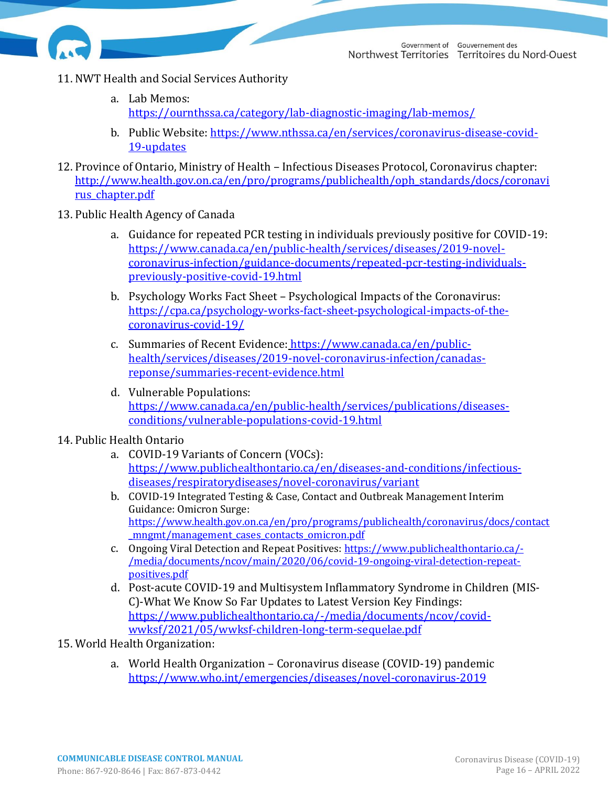

- 11. NWT Health and Social Services Authority
	- a. Lab Memos: <https://ournthssa.ca/category/lab-diagnostic-imaging/lab-memos/>
	- b. Public Website: [https://www.nthssa.ca/en/services/coronavirus-disease-covid-](https://www.nthssa.ca/en/services/coronavirus-disease-covid-19-updates)[19-updates](https://www.nthssa.ca/en/services/coronavirus-disease-covid-19-updates)
- 12. Province of Ontario, Ministry of Health Infectious Diseases Protocol, Coronavirus chapter: [http://www.health.gov.on.ca/en/pro/programs/publichealth/oph\\_standards/docs/coronavi](http://www.health.gov.on.ca/en/pro/programs/publichealth/oph_standards/docs/coronavirus_chapter.pdf) rus chapter.pdf
- 13. Public Health Agency of Canada
	- a. Guidance for repeated PCR testing in individuals previously positive for COVID-19: [https://www.canada.ca/en/public-health/services/diseases/2019-novel](https://www.canada.ca/en/public-health/services/diseases/2019-novel-coronavirus-infection/guidance-documents/repeated-pcr-testing-individuals-previously-positive-covid-19.html)[coronavirus-infection/guidance-documents/repeated-pcr-testing-individuals](https://www.canada.ca/en/public-health/services/diseases/2019-novel-coronavirus-infection/guidance-documents/repeated-pcr-testing-individuals-previously-positive-covid-19.html)[previously-positive-covid-19.html](https://www.canada.ca/en/public-health/services/diseases/2019-novel-coronavirus-infection/guidance-documents/repeated-pcr-testing-individuals-previously-positive-covid-19.html)
	- b. Psychology Works Fact Sheet Psychological Impacts of the Coronavirus: [https://cpa.ca/psychology-works-fact-sheet-psychological-impacts-of-the](https://cpa.ca/psychology-works-fact-sheet-psychological-impacts-of-the-coronavirus-covid-19/)[coronavirus-covid-19/](https://cpa.ca/psychology-works-fact-sheet-psychological-impacts-of-the-coronavirus-covid-19/)
	- c. Summaries of Recent Evidence: [https://www.canada.ca/en/public](https://www.canada.ca/en/public-health/services/diseases/2019-novel-coronavirus-infection/canadas-reponse/summaries-recent-evidence.html)[health/services/diseases/2019-novel-coronavirus-infection/canadas](https://www.canada.ca/en/public-health/services/diseases/2019-novel-coronavirus-infection/canadas-reponse/summaries-recent-evidence.html)[reponse/summaries-recent-evidence.html](https://www.canada.ca/en/public-health/services/diseases/2019-novel-coronavirus-infection/canadas-reponse/summaries-recent-evidence.html)
	- d. Vulnerable Populations: [https://www.canada.ca/en/public-health/services/publications/diseases](https://www.canada.ca/en/public-health/services/publications/diseases-conditions/vulnerable-populations-covid-19.html)[conditions/vulnerable-populations-covid-19.html](https://www.canada.ca/en/public-health/services/publications/diseases-conditions/vulnerable-populations-covid-19.html)
- 14. Public Health Ontario
	- a. COVID-19 Variants of Concern (VOCs): [https://www.publichealthontario.ca/en/diseases-and-conditions/infectious](https://www.publichealthontario.ca/en/diseases-and-conditions/infectious-diseases/respiratorydiseases/novel-coronavirus/variant)[diseases/respiratorydiseases/novel-coronavirus/variant](https://www.publichealthontario.ca/en/diseases-and-conditions/infectious-diseases/respiratorydiseases/novel-coronavirus/variant)
	- b. COVID-19 Integrated Testing & Case, Contact and Outbreak Management Interim Guidance: Omicron Surge: [https://www.health.gov.on.ca/en/pro/programs/publichealth/coronavirus/docs/contact](https://www.health.gov.on.ca/en/pro/programs/publichealth/coronavirus/docs/contact_mngmt/management_cases_contacts_omicron.pdf) mngmt/management cases contacts omicron.pdf
	- c. Ongoing Viral Detection and Repeat Positives: [https://www.publichealthontario.ca/-](https://www.publichealthontario.ca/-/media/documents/ncov/main/2020/06/covid-19-ongoing-viral-detection-repeat-positives.pdf) [/media/documents/ncov/main/2020/06/covid-19-ongoing-viral-detection-repeat](https://www.publichealthontario.ca/-/media/documents/ncov/main/2020/06/covid-19-ongoing-viral-detection-repeat-positives.pdf)[positives.pdf](https://www.publichealthontario.ca/-/media/documents/ncov/main/2020/06/covid-19-ongoing-viral-detection-repeat-positives.pdf)
	- d. Post-acute COVID-19 and Multisystem Inflammatory Syndrome in Children (MIS-C)-What We Know So Far Updates to Latest Version Key Findings: [https://www.publichealthontario.ca/-/media/documents/ncov/covid](https://www.publichealthontario.ca/-/media/documents/ncov/covid-wwksf/2021/05/wwksf-children-long-term-sequelae.pdf)[wwksf/2021/05/wwksf-children-long-term-sequelae.pdf](https://www.publichealthontario.ca/-/media/documents/ncov/covid-wwksf/2021/05/wwksf-children-long-term-sequelae.pdf)
- 15. World Health Organization:
	- a. World Health Organization Coronavirus disease (COVID-19) pandemic <https://www.who.int/emergencies/diseases/novel-coronavirus-2019>